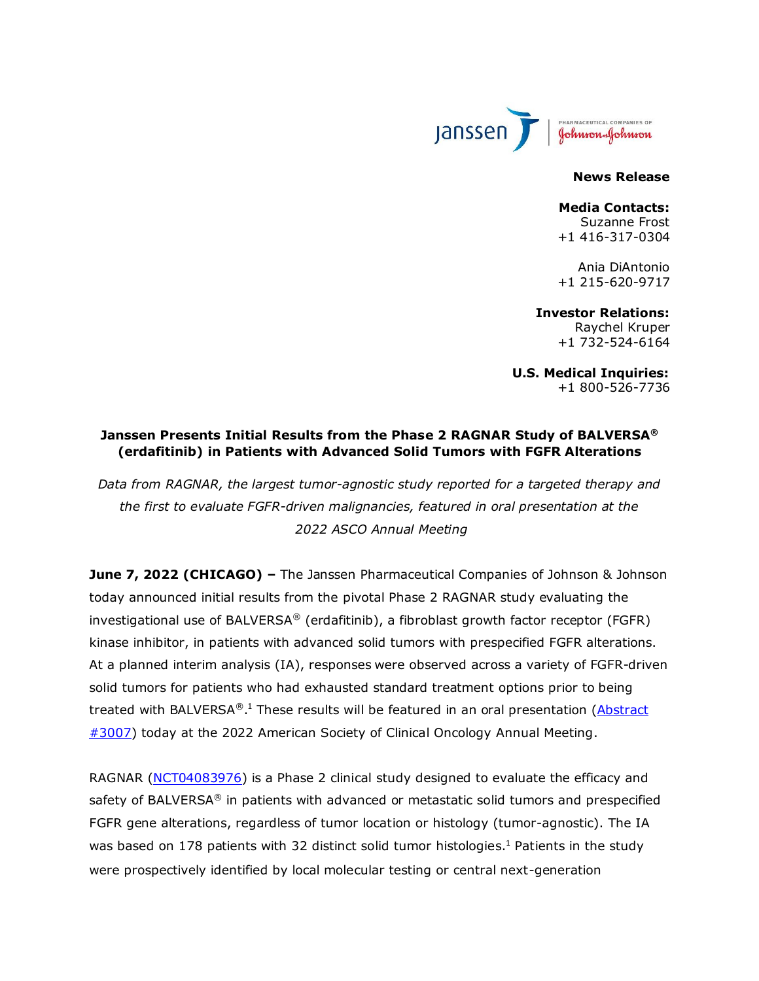

**News Release**

# **Media Contacts:**

Suzanne Frost +1 416-317-0304

Ania DiAntonio +1 215-620-9717

**Investor Relations:** Raychel Kruper +1 732-524-6164

**U.S. Medical Inquiries:** +1 800-526-7736

### **Janssen Presents Initial Results from the Phase 2 RAGNAR Study of BALVERSA® (erdafitinib) in Patients with Advanced Solid Tumors with FGFR Alterations**

*Data from RAGNAR, the largest tumor-agnostic study reported for a targeted therapy and the first to evaluate FGFR-driven malignancies, featured in oral presentation at the 2022 ASCO Annual Meeting*

**June 7, 2022 (CHICAGO) –** The Janssen Pharmaceutical Companies of Johnson & Johnson today announced initial results from the pivotal Phase 2 RAGNAR study evaluating the investigational use of BALVERSA® (erdafitinib), a fibroblast growth factor receptor (FGFR) kinase inhibitor, in patients with advanced solid tumors with prespecified FGFR alterations. At a planned interim analysis (IA), responses were observed across a variety of FGFR-driven solid tumors for patients who had exhausted standard treatment options prior to being treated with BALVERSA®.<sup>1</sup> These results will be featured in an oral presentation (*Abstract* [#3007\)](https://meetings.asco.org/abstracts-presentations/207871) today at the 2022 American Society of Clinical Oncology Annual Meeting.

<span id="page-0-0"></span>RAGNAR [\(NCT04083976\)](https://clinicaltrials.gov/ct2/show/NCT04083976) is a Phase 2 clinical study designed to evaluate the efficacy and safety of BALVERSA® in patients with advanced or metastatic solid tumors and prespecified FGFR gene alterations, regardless of tumor location or histology (tumor-agnostic). The IA was based on [1](#page-0-0)78 patients with 32 distinct solid tumor histologies.<sup>1</sup> Patients in the study were prospectively identified by local molecular testing or central next-generation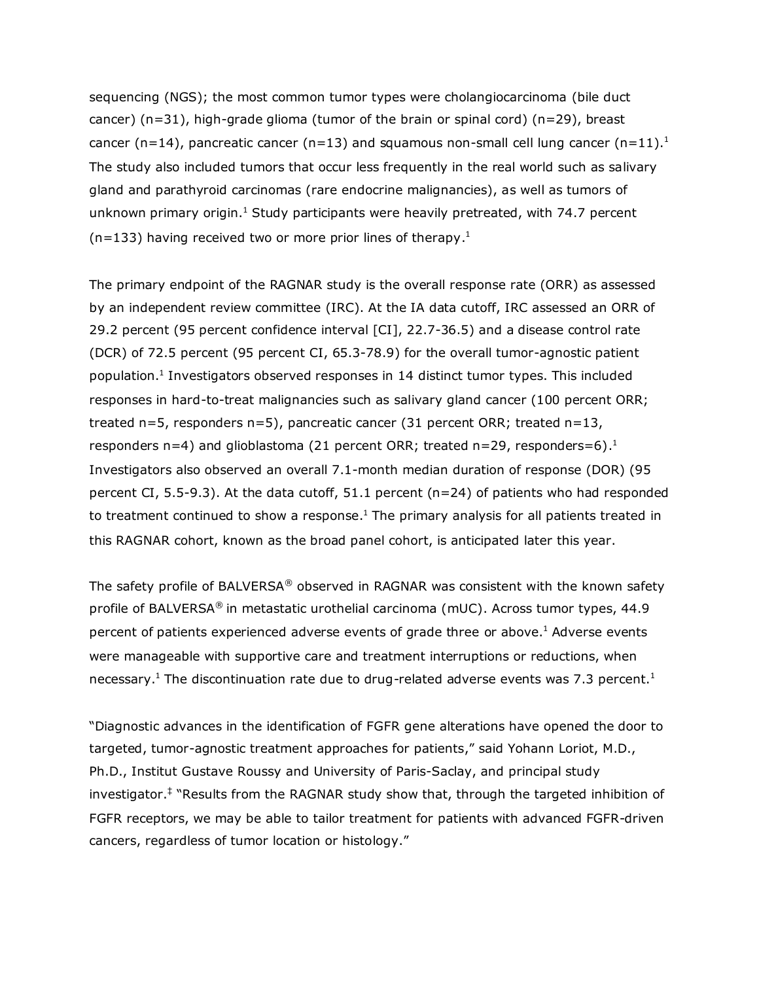sequencing (NGS); the most common tumor types were cholangiocarcinoma (bile duct cancer)  $(n=31)$ , high-grade glioma (tumor of the brain or spinal cord)  $(n=29)$ , breast cancer (n=14), pancreatic cancer (n=13) and squamous non-small cell lung cancer (n=11)[.](#page-0-0)<sup>1</sup> The study also included tumors that occur less frequently in the real world such as salivary gland and parathyroid carcinomas (rare endocrine malignancies), as well as tumors of unknown primary origin[.](#page-0-0) $1$  Study participants were heavily pretreated, with 74.7 percent  $(n=133)$  having received two or more prior lines of therapy[.](#page-0-0)<sup>1</sup>

The primary endpoint of the RAGNAR study is the overall response rate (ORR) as assessed by an independent review committee (IRC). At the IA data cutoff, IRC assessed an ORR of 29.2 percent (95 percent confidence interval [CI], 22.7-36.5) and a disease control rate (DCR) of 72.5 percent (95 percent CI, 65.3-78.9) for the overall tumor-agnostic patient population[.](#page-0-0)<sup>1</sup> Investigators observed responses in 14 distinct tumor types. This included responses in hard-to-treat malignancies such as salivary gland cancer (100 percent ORR; treated n=5, responders n=5), pancreatic cancer (31 percent ORR; treated n=13, responders n=4) and glioblastoma (21 percent ORR; treated n=29, responders=6)[.](#page-0-0)<sup>1</sup> Investigators also observed an overall 7.1-month median duration of response (DOR) (95 percent CI, 5.5-9.3). At the data cutoff, 51.1 percent (n=24) of patients who had responded to treatment continued to show a response.<sup>[1](#page-0-0)</sup> The primary analysis for all patients treated in this RAGNAR cohort, known as the broad panel cohort, is anticipated later this year.

The safety profile of BALVERSA® observed in RAGNAR was consistent with the known safety profile of BALVERSA® in metastatic urothelial carcinoma (mUC). Across tumor types, 44.9 percent of patients experienced adverse events of grade three or above[.](#page-0-0)<sup>1</sup> Adverse events were manageable with supportive care and treatment interruptions or reductions, when necessary[.](#page-0-0)<sup>1</sup> The discontinuation rate due to drug-related adverse events was 7.3 percent.<sup>1</sup>

"Diagnostic advances in the identification of FGFR gene alterations have opened the door to targeted, tumor-agnostic treatment approaches for patients," said Yohann Loriot, M.D., Ph.D., Institut Gustave Roussy and University of Paris-Saclay, and principal study investigator.‡ "Results from the RAGNAR study show that, through the targeted inhibition of FGFR receptors, we may be able to tailor treatment for patients with advanced FGFR-driven cancers, regardless of tumor location or histology."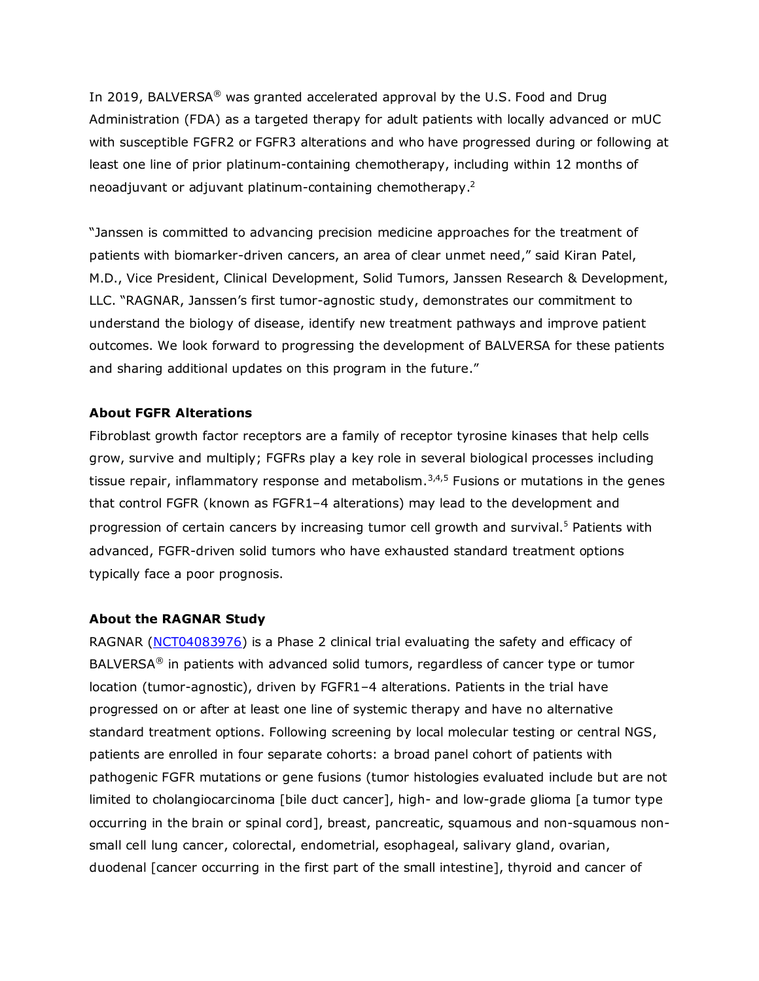In 2019, BALVERSA® was granted accelerated approval by the U.S. Food and Drug Administration (FDA) as a targeted therapy for adult patients with locally advanced or mUC with susceptible FGFR2 or FGFR3 alterations and who have progressed during or following at least one line of prior platinum-containing chemotherapy, including within 12 months of neoadjuvant or adjuvant platinum-containing chemotherapy.<sup>2</sup>

<span id="page-2-1"></span>"Janssen is committed to advancing precision medicine approaches for the treatment of patients with biomarker-driven cancers, an area of clear unmet need," said Kiran Patel, M.D., Vice President, Clinical Development, Solid Tumors, Janssen Research & Development, LLC. "RAGNAR, Janssen's first tumor-agnostic study, demonstrates our commitment to understand the biology of disease, identify new treatment pathways and improve patient outcomes. We look forward to progressing the development of BALVERSA for these patients and sharing additional updates on this program in the future."

### **About FGFR Alterations**

<span id="page-2-0"></span>Fibroblast growth factor receptors are a family of receptor tyrosine kinases that help cells grow, survive and multiply; FGFRs play a key role in several biological processes including tissue repair, inflammatory response and metabolism.<sup>3,4,5</sup> Fusions or mutations in the genes that control FGFR (known as FGFR1–4 alterations) may lead to the development and progression of certain cancers by increasing tumor cell growth and survival[.](#page-2-0)<sup>5</sup> Patients with advanced, FGFR-driven solid tumors who have exhausted standard treatment options typically face a poor prognosis.

#### **About the RAGNAR Study**

RAGNAR [\(NCT04083976\)](https://clinicaltrials.gov/ct2/show/NCT04083976) is a Phase 2 clinical trial evaluating the safety and efficacy of BALVERSA® in patients with advanced solid tumors, regardless of cancer type or tumor location (tumor-agnostic), driven by FGFR1–4 alterations. Patients in the trial have progressed on or after at least one line of systemic therapy and have no alternative standard treatment options. Following screening by local molecular testing or central NGS, patients are enrolled in four separate cohorts: a broad panel cohort of patients with pathogenic FGFR mutations or gene fusions (tumor histologies evaluated include but are not limited to cholangiocarcinoma [bile duct cancer], high- and low-grade glioma [a tumor type occurring in the brain or spinal cord], breast, pancreatic, squamous and non-squamous nonsmall cell lung cancer, colorectal, endometrial, esophageal, salivary gland, ovarian, duodenal [cancer occurring in the first part of the small intestine], thyroid and cancer of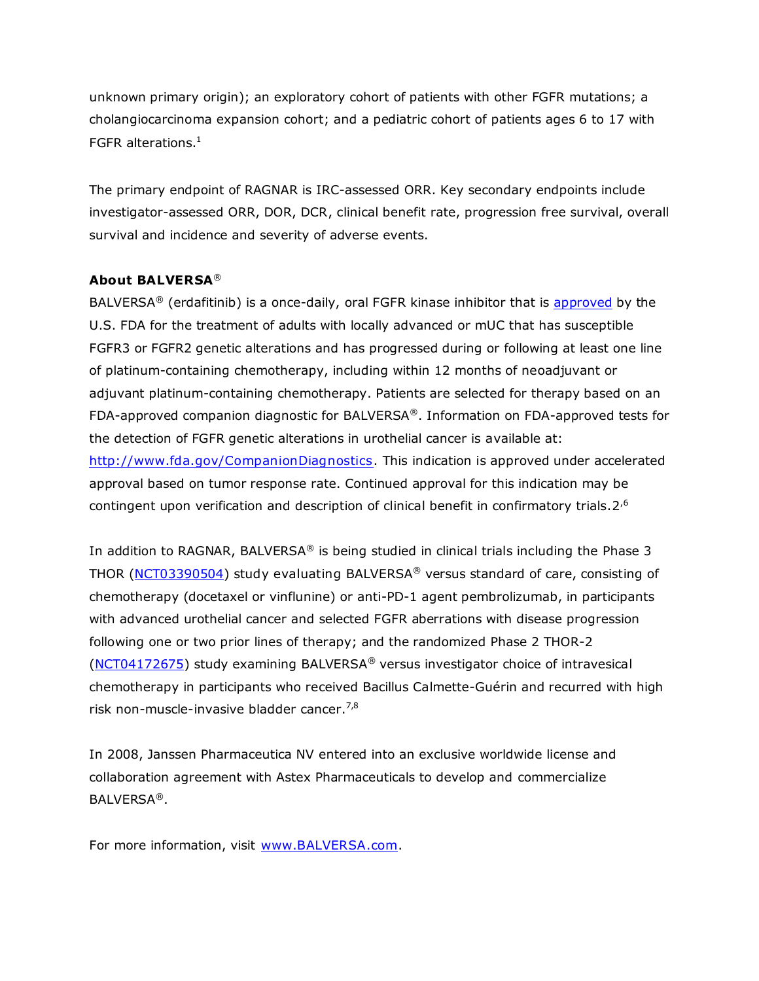unknown primary origin); an exploratory cohort of patients with other FGFR mutations; a cholangiocarcinoma expansion cohort; and a pediatric cohort of patients ages 6 to 17 with FGFR alterations[.](#page-0-0)<sup>1</sup>

The primary endpoint of RAGNAR is IRC-assessed ORR. Key secondary endpoints include investigator-assessed ORR, DOR, DCR, clinical benefit rate, progression free survival, overall survival and incidence and severity of adverse events.

### **About BALVERSA**®

BALVERSA<sup>®</sup> (erdafitinib) is a once-daily, oral FGFR kinase inhibitor that is [approved](https://www.jnj.com/balversa-erdafitinib-receives-u-s-fda-approval-for-the-treatment-of-patients-with-locally-advanced-or-metastatic-urothelial-carcinoma-with-certain-fgfr-genetic-alterations) by the U.S. FDA for the treatment of adults with locally advanced or mUC that has susceptible FGFR3 or FGFR2 genetic alterations and has progressed during or following at least one line of platinum-containing chemotherapy, including within 12 months of neoadjuvant or adjuvant platinum-containing chemotherapy. Patients are selected for therapy based on an FDA-approved companion diagnostic for BALVERSA®. Information on FDA-approved tests for the detection of FGFR genetic alterations in urothelial cancer is available at: [http://www.fda.gov/CompanionDiagnostics.](http://www.fda.gov/CompanionDiagnostics) This indication is approved under accelerated approval based on tumor response rate. Continued approval for this indication may be contingent upon verification and description of clinical benefit in confirmatory trials.  $2^{,6}$ 

In addition to RAGNAR, BALVERSA® is being studied in clinical trials including the Phase 3 THOR [\(NCT03390504\)](https://clinicaltrials.gov/ct2/show/NCT03390504) study evaluating BALVERSA® versus standard of care, consisting of chemotherapy (docetaxel or vinflunine) or anti-PD-1 agent pembrolizumab, in participants with advanced urothelial cancer and selected FGFR aberrations with disease progression following one or two prior lines of therapy; and the randomized Phase 2 THOR-2 [\(NCT04172675\)](https://www.clinicaltrials.gov/ct2/show/NCT04172675?term=NCT04172675&draw=2&rank=1) study examining BALVERSA® versus investigator choice of intravesical chemotherapy in participants who received Bacillus Calmette-Guérin and recurred with high risk non-muscle-invasive bladder cancer.<sup>7,8</sup>

In 2008, Janssen Pharmaceutica NV entered into an exclusive worldwide license and collaboration agreement with Astex Pharmaceuticals to develop and commercialize BALVERSA®.

For more information, visit [www.BALVERSA.com.](http://www.balversa.com/)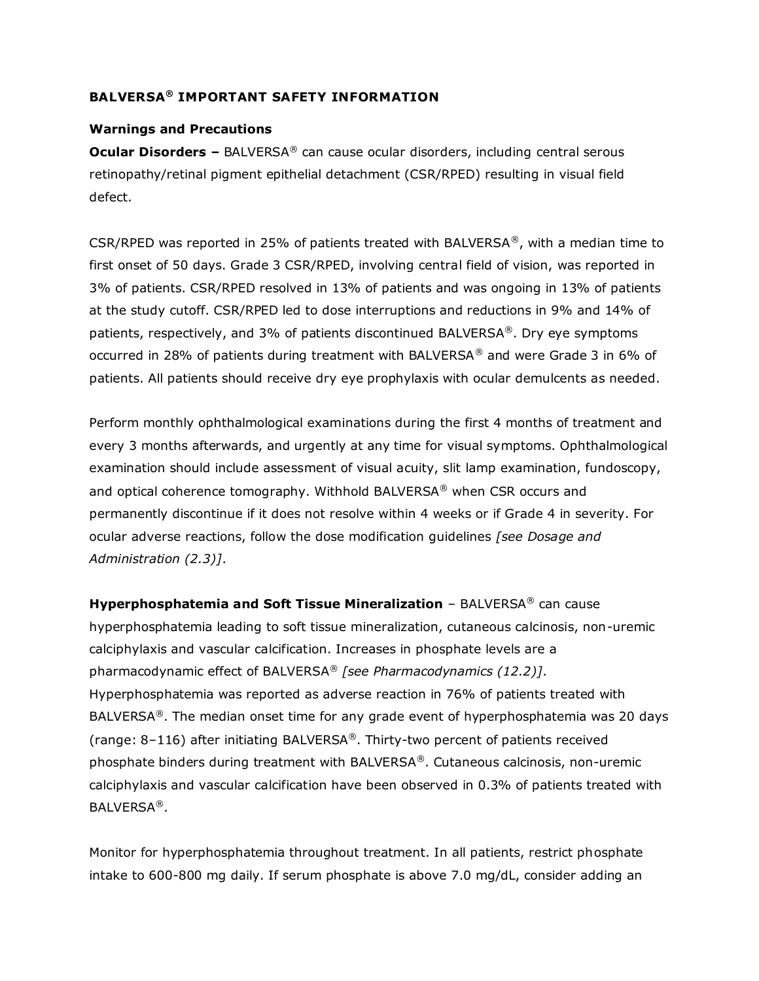# **BALVERSA® IMPORTANT SAFETY INFORMATION**

### **Warnings and Precautions**

**Ocular Disorders –** BALVERSA<sup>®</sup> can cause ocular disorders, including central serous retinopathy/retinal pigment epithelial detachment (CSR/RPED) resulting in visual field defect.

CSR/RPED was reported in 25% of patients treated with BALVERSA<sup>®</sup>, with a median time to first onset of 50 days. Grade 3 CSR/RPED, involving central field of vision, was reported in 3% of patients. CSR/RPED resolved in 13% of patients and was ongoing in 13% of patients at the study cutoff. CSR/RPED led to dose interruptions and reductions in 9% and 14% of patients, respectively, and 3% of patients discontinued BALVERSA<sup>®</sup>. Dry eye symptoms occurred in 28% of patients during treatment with BALVERSA® and were Grade 3 in 6% of patients. All patients should receive dry eye prophylaxis with ocular demulcents as needed.

Perform monthly ophthalmological examinations during the first 4 months of treatment and every 3 months afterwards, and urgently at any time for visual symptoms. Ophthalmological examination should include assessment of visual acuity, slit lamp examination, fundoscopy, and optical coherence tomography. Withhold BALVERSA® when CSR occurs and permanently discontinue if it does not resolve within 4 weeks or if Grade 4 in severity. For ocular adverse reactions, follow the dose modification guidelines *[see Dosage and Administration (2.3)]*.

**Hyperphosphatemia and Soft Tissue Mineralization** – BALVERSA® can cause hyperphosphatemia leading to soft tissue mineralization, cutaneous calcinosis, non-uremic calciphylaxis and vascular calcification. Increases in phosphate levels are a pharmacodynamic effect of BALVERSA® *[see Pharmacodynamics (12.2)]*. Hyperphosphatemia was reported as adverse reaction in 76% of patients treated with BALVERSA<sup>®</sup>. The median onset time for any grade event of hyperphosphatemia was 20 days (range:  $8-116$ ) after initiating BALVERSA®. Thirty-two percent of patients received phosphate binders during treatment with BALVERSA®. Cutaneous calcinosis, non-uremic calciphylaxis and vascular calcification have been observed in 0.3% of patients treated with BALVERSA®.

Monitor for hyperphosphatemia throughout treatment. In all patients, restrict phosphate intake to 600-800 mg daily. If serum phosphate is above 7.0 mg/dL, consider adding an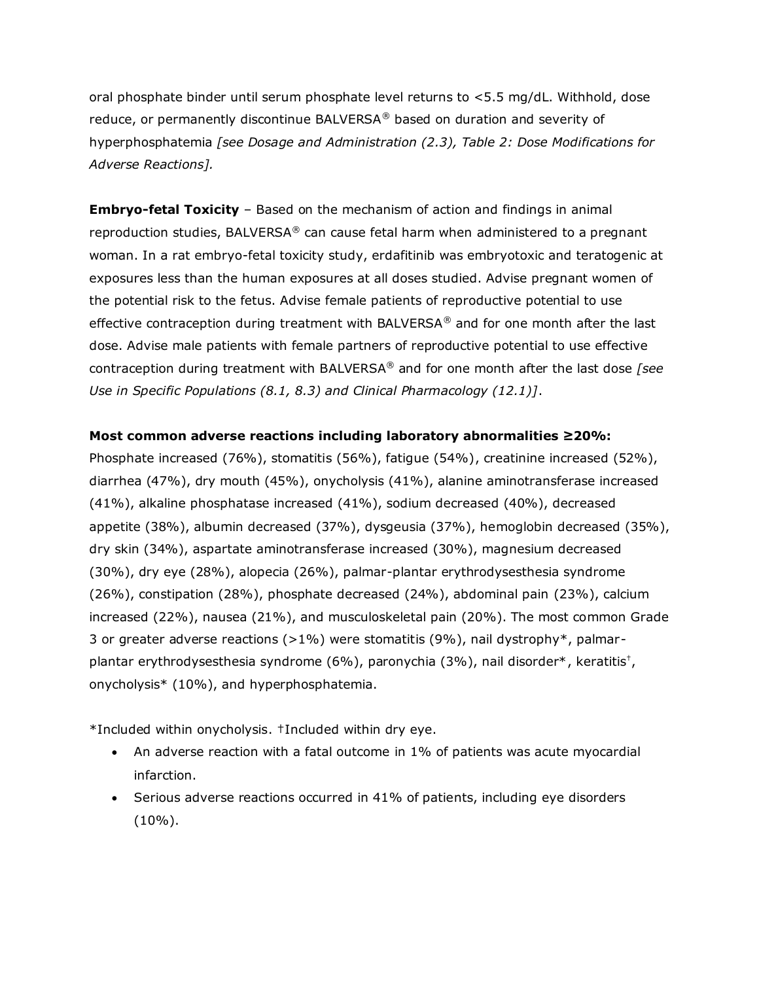oral phosphate binder until serum phosphate level returns to <5.5 mg/dL. Withhold, dose reduce, or permanently discontinue BALVERSA® based on duration and severity of hyperphosphatemia *[see Dosage and Administration (2.3), Table 2: Dose Modifications for Adverse Reactions].* 

**Embryo-fetal Toxicity** – Based on the mechanism of action and findings in animal reproduction studies, BALVERSA® can cause fetal harm when administered to a pregnant woman. In a rat embryo-fetal toxicity study, erdafitinib was embryotoxic and teratogenic at exposures less than the human exposures at all doses studied. Advise pregnant women of the potential risk to the fetus. Advise female patients of reproductive potential to use effective contraception during treatment with BALVERSA® and for one month after the last dose. Advise male patients with female partners of reproductive potential to use effective contraception during treatment with BALVERSA® and for one month after the last dose *[see Use in Specific Populations (8.1, 8.3) and Clinical Pharmacology (12.1)]*.

### **Most common adverse reactions including laboratory abnormalities ≥20%:**

Phosphate increased (76%), stomatitis (56%), fatigue (54%), creatinine increased (52%), diarrhea (47%), dry mouth (45%), onycholysis (41%), alanine aminotransferase increased (41%), alkaline phosphatase increased (41%), sodium decreased (40%), decreased appetite (38%), albumin decreased (37%), dysgeusia (37%), hemoglobin decreased (35%), dry skin (34%), aspartate aminotransferase increased (30%), magnesium decreased (30%), dry eye (28%), alopecia (26%), palmar-plantar erythrodysesthesia syndrome (26%), constipation (28%), phosphate decreased (24%), abdominal pain (23%), calcium increased (22%), nausea (21%), and musculoskeletal pain (20%). The most common Grade 3 or greater adverse reactions  $(>1\%)$  were stomatitis (9%), nail dystrophy\*, palmarplantar erythrodysesthesia syndrome (6%), paronychia (3%), nail disorder\*, keratitis† , onycholysis\* (10%), and hyperphosphatemia.

\*Included within onycholysis. †Included within dry eye.

- An adverse reaction with a fatal outcome in 1% of patients was acute myocardial infarction.
- Serious adverse reactions occurred in 41% of patients, including eye disorders  $(10\%)$ .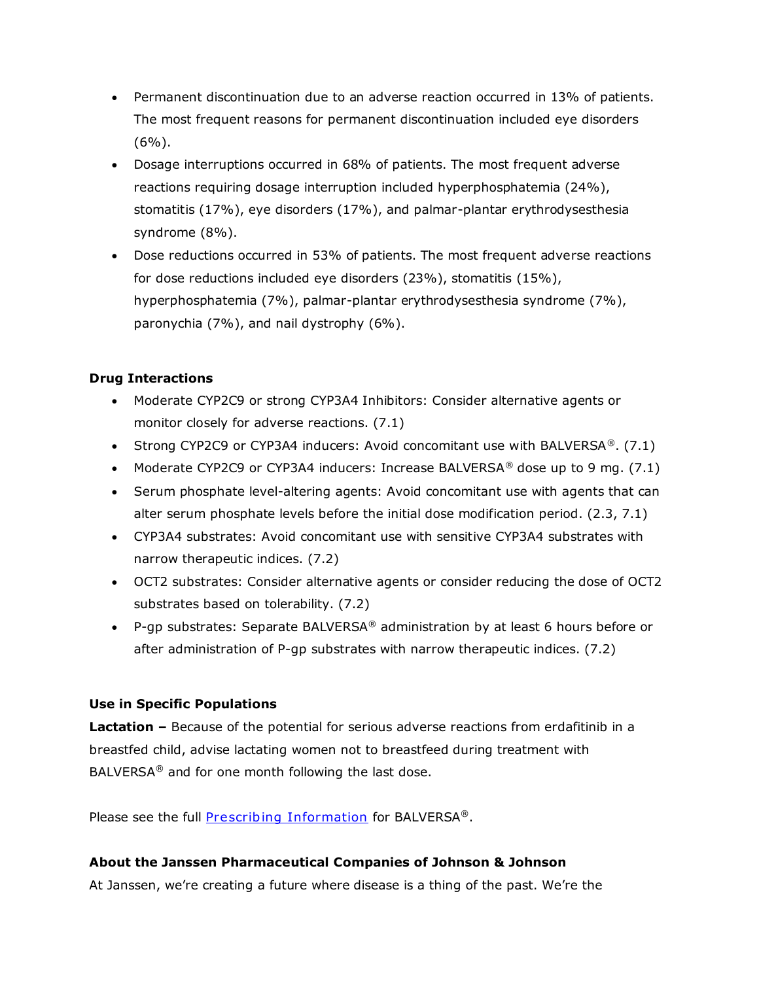- Permanent discontinuation due to an adverse reaction occurred in 13% of patients. The most frequent reasons for permanent discontinuation included eye disorders  $(6\%)$ .
- Dosage interruptions occurred in 68% of patients. The most frequent adverse reactions requiring dosage interruption included hyperphosphatemia (24%), stomatitis (17%), eye disorders (17%), and palmar-plantar erythrodysesthesia syndrome (8%).
- Dose reductions occurred in 53% of patients. The most frequent adverse reactions for dose reductions included eye disorders (23%), stomatitis (15%), hyperphosphatemia (7%), palmar-plantar erythrodysesthesia syndrome (7%), paronychia (7%), and nail dystrophy (6%).

# **Drug Interactions**

- Moderate CYP2C9 or strong CYP3A4 Inhibitors: Consider alternative agents or monitor closely for adverse reactions. (7.1)
- Strong CYP2C9 or CYP3A4 inducers: Avoid concomitant use with BALVERSA<sup>®</sup>. (7.1)
- Moderate CYP2C9 or CYP3A4 inducers: Increase BALVERSA<sup>®</sup> dose up to 9 mg. (7.1)
- Serum phosphate level-altering agents: Avoid concomitant use with agents that can alter serum phosphate levels before the initial dose modification period. (2.3, 7.1)
- CYP3A4 substrates: Avoid concomitant use with sensitive CYP3A4 substrates with narrow therapeutic indices. (7.2)
- OCT2 substrates: Consider alternative agents or consider reducing the dose of OCT2 substrates based on tolerability. (7.2)
- P-gp substrates: Separate BALVERSA<sup>®</sup> administration by at least 6 hours before or after administration of P-gp substrates with narrow therapeutic indices. (7.2)

# **Use in Specific Populations**

**Lactation –** Because of the potential for serious adverse reactions from erdafitinib in a breastfed child, advise lactating women not to breastfeed during treatment with BALVERSA<sup>®</sup> and for one month following the last dose.

Please see the full **[Prescribing Information](http://www.janssenlabels.com/package-insert/product-monograph/prescribing-information/BALVERSA-pi.pdf)** for BALVERSA®.

# **About the Janssen Pharmaceutical Companies of Johnson & Johnson**

At Janssen, we're creating a future where disease is a thing of the past. We're the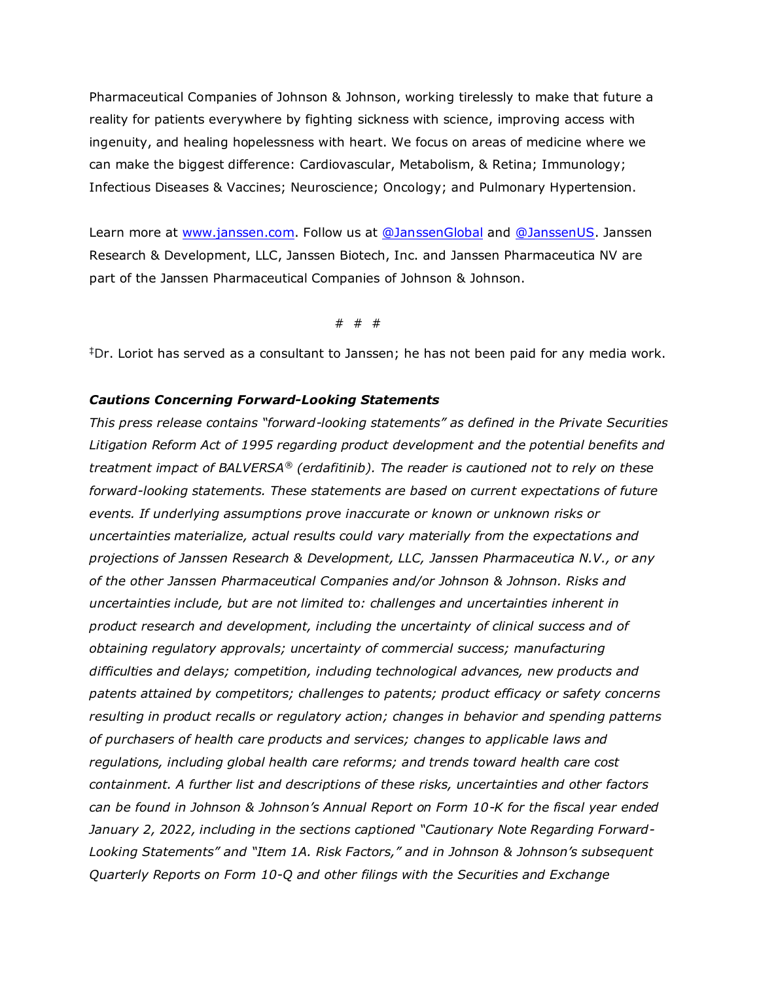Pharmaceutical Companies of Johnson & Johnson, working tirelessly to make that future a reality for patients everywhere by fighting sickness with science, improving access with ingenuity, and healing hopelessness with heart. We focus on areas of medicine where we can make the biggest difference: Cardiovascular, Metabolism, & Retina; Immunology; Infectious Diseases & Vaccines; Neuroscience; Oncology; and Pulmonary Hypertension.

Learn more at [www.janssen.com.](https://www.janssen.com/) Follow us at [@JanssenGlobal](https://twitter.com/JanssenGlobal) and [@JanssenUS.](https://twitter.com/JanssenUS?ref_src=twsrc%5Egoogle%7Ctwcamp%5Eserp%7Ctwgr%5Eauthor) Janssen Research & Development, LLC, Janssen Biotech, Inc. and Janssen Pharmaceutica NV are part of the Janssen Pharmaceutical Companies of Johnson & Johnson.

# # #

‡Dr. Loriot has served as a consultant to Janssen; he has not been paid for any media work.

#### *Cautions Concerning Forward-Looking Statements*

*This press release contains "forward-looking statements" as defined in the Private Securities Litigation Reform Act of 1995 regarding product development and the potential benefits and treatment impact of BALVERSA® (erdafitinib). The reader is cautioned not to rely on these forward-looking statements. These statements are based on current expectations of future events. If underlying assumptions prove inaccurate or known or unknown risks or uncertainties materialize, actual results could vary materially from the expectations and projections of Janssen Research & Development, LLC, Janssen Pharmaceutica N.V., or any of the other Janssen Pharmaceutical Companies and/or Johnson & Johnson. Risks and uncertainties include, but are not limited to: challenges and uncertainties inherent in product research and development, including the uncertainty of clinical success and of obtaining regulatory approvals; uncertainty of commercial success; manufacturing difficulties and delays; competition, including technological advances, new products and patents attained by competitors; challenges to patents; product efficacy or safety concerns resulting in product recalls or regulatory action; changes in behavior and spending patterns of purchasers of health care products and services; changes to applicable laws and regulations, including global health care reforms; and trends toward health care cost containment. A further list and descriptions of these risks, uncertainties and other factors can be found in Johnson & Johnson's Annual Report on Form 10-K for the fiscal year ended January 2, 2022, including in the sections captioned "Cautionary Note Regarding Forward-Looking Statements" and "Item 1A. Risk Factors," and in Johnson & Johnson's subsequent Quarterly Reports on Form 10-Q and other filings with the Securities and Exchange*